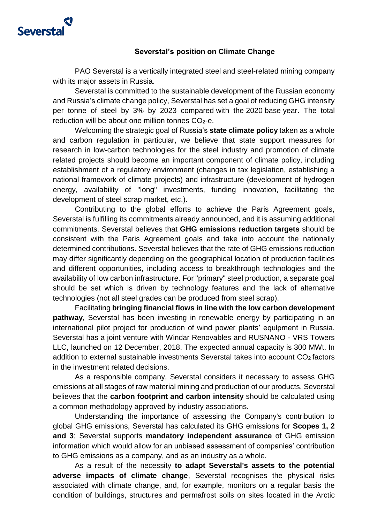

## **Severstal's position on Climate Change**

PAO Severstal is a vertically integrated steel and steel-related mining company with its major assets in Russia.

Severstal is committed to the sustainable development of the Russian economy and Russia's climate change policy, Severstal has set a goal of reducing GHG intensity per tonne of steel by 3% by 2023 compared with the 2020 base year. The total reduction will be about one million tonnes  $CO<sub>2</sub> - e$ .

Welcoming the strategic goal of Russia's **state climate policy** taken as a whole and carbon regulation in particular, we believe that state support measures for research in low-carbon technologies for the steel industry and promotion of climate related projects should become an important component of climate policy, including establishment of a regulatory environment (changes in tax legislation, establishing a national framework of climate projects) and infrastructure (development of hydrogen energy, availability of "long" investments, funding innovation, facilitating the development of steel scrap market, etc.).

Contributing to the global efforts to achieve the Paris Agreement goals, Severstal is fulfilling its commitments already announced, and it is assuming additional commitments. Severstal believes that **GHG emissions reduction targets** should be consistent with the Paris Agreement goals and take into account the nationally determined contributions. Severstal believes that the rate of GHG emissions reduction may differ significantly depending on the geographical location of production facilities and different opportunities, including access to breakthrough technologies and the availability of low carbon infrastructure. For "primary" steel production, a separate goal should be set which is driven by technology features and the lack of alternative technologies (not all steel grades can be produced from steel scrap).

Facilitating **bringing financial flows in line with the low carbon development pathway**, Severstal has been investing in renewable energy by participating in an international pilot project for production of wind power plants' equipment in Russia. Severstal has a joint venture with Windar Renovables and RUSNANO - VRS Towers LLC, launched on 12 December, 2018. The expected annual capacity is 300 MWt. In addition to external sustainable investments Severstal takes into account CO<sub>2</sub> factors in the investment related decisions.

As a responsible company, Severstal considers it necessary to assess GHG emissions at all stages of raw material mining and production of our products. Severstal believes that the **carbon footprint and carbon intensity** should be calculated using a common methodology approved by industry associations.

Understanding the importance of assessing the Company's contribution to global GHG emissions, Severstal has calculated its GHG emissions for **Scopes 1, 2 and 3**; Severstal supports **mandatory independent assurance** of GHG emission information which would allow for an unbiased assessment of companies' contribution to GHG emissions as a company, and as an industry as a whole.

As a result of the necessity **to adapt Severstal's assets to the potential adverse impacts of climate change**, Severstal recognises the physical risks associated with climate change, and, for example, monitors on a regular basis the condition of buildings, structures and permafrost soils on sites located in the Arctic